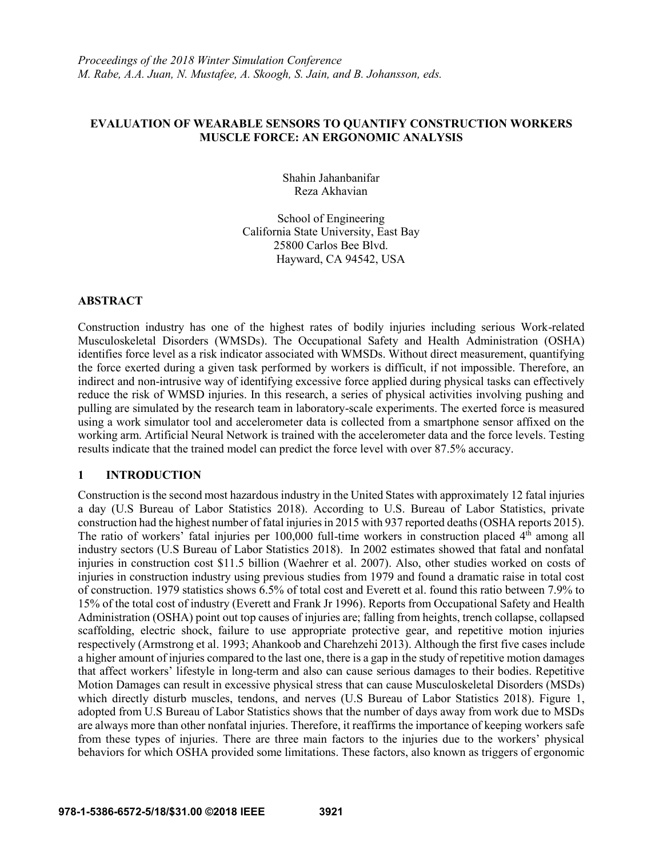## **EVALUATION OF WEARABLE SENSORS TO QUANTIFY CONSTRUCTION WORKERS MUSCLE FORCE: AN ERGONOMIC ANALYSIS**

Shahin Jahanbanifar Reza Akhavian

School of Engineering California State University, East Bay 25800 Carlos Bee Blvd. Hayward, CA 94542, USA

## **ABSTRACT**

Construction industry has one of the highest rates of bodily injuries including serious Work-related Musculoskeletal Disorders (WMSDs). The Occupational Safety and Health Administration (OSHA) identifies force level as a risk indicator associated with WMSDs. Without direct measurement, quantifying the force exerted during a given task performed by workers is difficult, if not impossible. Therefore, an indirect and non-intrusive way of identifying excessive force applied during physical tasks can effectively reduce the risk of WMSD injuries. In this research, a series of physical activities involving pushing and pulling are simulated by the research team in laboratory-scale experiments. The exerted force is measured using a work simulator tool and accelerometer data is collected from a smartphone sensor affixed on the working arm. Artificial Neural Network is trained with the accelerometer data and the force levels. Testing results indicate that the trained model can predict the force level with over 87.5% accuracy.

# **1 INTRODUCTION**

Construction is the second most hazardous industry in the United States with approximately 12 fatal injuries a day (U.S Bureau of Labor Statistics 2018). According to U.S. Bureau of Labor Statistics, private construction had the highest number of fatal injuries in 2015 with 937 reported deaths (OSHA reports 2015). The ratio of workers' fatal injuries per 100,000 full-time workers in construction placed  $4<sup>th</sup>$  among all industry sectors (U.S Bureau of Labor Statistics 2018). In 2002 estimates showed that fatal and nonfatal injuries in construction cost \$11.5 billion (Waehrer et al. 2007). Also, other studies worked on costs of injuries in construction industry using previous studies from 1979 and found a dramatic raise in total cost of construction. 1979 statistics shows 6.5% of total cost and Everett et al. found this ratio between 7.9% to 15% of the total cost of industry (Everett and Frank Jr 1996). Reports from Occupational Safety and Health Administration (OSHA) point out top causes of injuries are; falling from heights, trench collapse, collapsed scaffolding, electric shock, failure to use appropriate protective gear, and repetitive motion injuries respectively (Armstrong et al. 1993; Ahankoob and Charehzehi 2013). Although the first five cases include a higher amount of injuries compared to the last one, there is a gap in the study of repetitive motion damages that affect workers' lifestyle in long-term and also can cause serious damages to their bodies. Repetitive Motion Damages can result in excessive physical stress that can cause Musculoskeletal Disorders (MSDs) which directly disturb muscles, tendons, and nerves (U.S Bureau of Labor Statistics 2018). Figure 1, adopted from U.S Bureau of Labor Statistics shows that the number of days away from work due to MSDs are always more than other nonfatal injuries. Therefore, it reaffirms the importance of keeping workers safe from these types of injuries. There are three main factors to the injuries due to the workers' physical behaviors for which OSHA provided some limitations. These factors, also known as triggers of ergonomic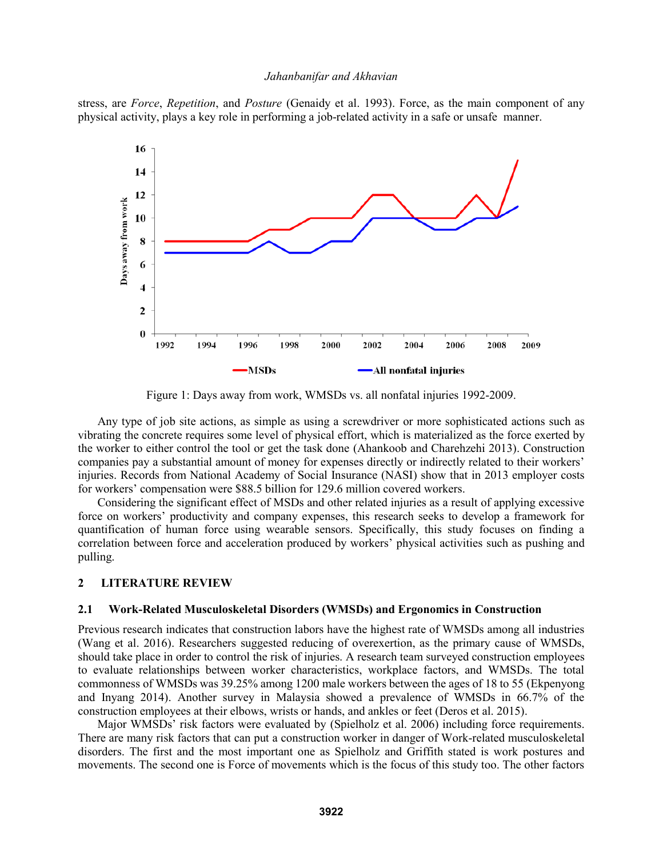stress, are *Force*, *Repetition*, and *Posture* (Genaidy et al. 1993). Force, as the main component of any physical activity, plays a key role in performing a job-related activity in a safe or unsafe manner.



Figure 1: Days away from work, WMSDs vs. all nonfatal injuries 1992-2009.

Any type of job site actions, as simple as using a screwdriver or more sophisticated actions such as vibrating the concrete requires some level of physical effort, which is materialized as the force exerted by the worker to either control the tool or get the task done (Ahankoob and Charehzehi 2013). Construction companies pay a substantial amount of money for expenses directly or indirectly related to their workers' injuries. Records from National Academy of Social Insurance (NASI) show that in 2013 employer costs for workers' compensation were \$88.5 billion for 129.6 million covered workers.

Considering the significant effect of MSDs and other related injuries as a result of applying excessive force on workers' productivity and company expenses, this research seeks to develop a framework for quantification of human force using wearable sensors. Specifically, this study focuses on finding a correlation between force and acceleration produced by workers' physical activities such as pushing and pulling.

## **2 LITERATURE REVIEW**

### **2.1 Work-Related Musculoskeletal Disorders (WMSDs) and Ergonomics in Construction**

Previous research indicates that construction labors have the highest rate of WMSDs among all industries (Wang et al. 2016). Researchers suggested reducing of overexertion, as the primary cause of WMSDs, should take place in order to control the risk of injuries. A research team surveyed construction employees to evaluate relationships between worker characteristics, workplace factors, and WMSDs. The total commonness of WMSDs was 39.25% among 1200 male workers between the ages of 18 to 55 (Ekpenyong and Inyang 2014). Another survey in Malaysia showed a prevalence of WMSDs in 66.7% of the construction employees at their elbows, wrists or hands, and ankles or feet (Deros et al. 2015).

Major WMSDs' risk factors were evaluated by (Spielholz et al. 2006) including force requirements. There are many risk factors that can put a construction worker in danger of Work-related musculoskeletal disorders. The first and the most important one as Spielholz and Griffith stated is work postures and movements. The second one is Force of movements which is the focus of this study too. The other factors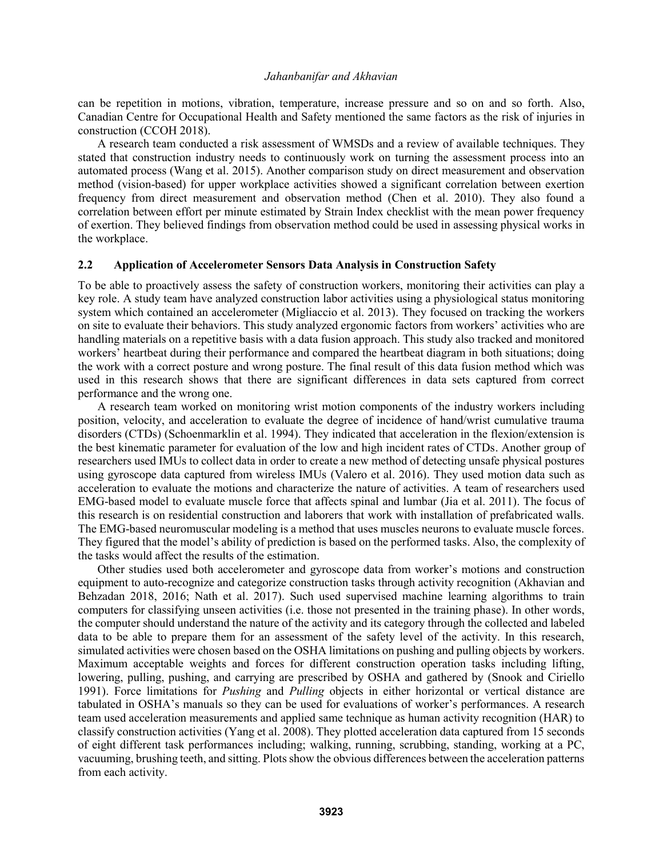can be repetition in motions, vibration, temperature, increase pressure and so on and so forth. Also, Canadian Centre for Occupational Health and Safety mentioned the same factors as the risk of injuries in construction (CCOH 2018).

A research team conducted a risk assessment of WMSDs and a review of available techniques. They stated that construction industry needs to continuously work on turning the assessment process into an automated process (Wang et al. 2015). Another comparison study on direct measurement and observation method (vision-based) for upper workplace activities showed a significant correlation between exertion frequency from direct measurement and observation method (Chen et al. 2010). They also found a correlation between effort per minute estimated by Strain Index checklist with the mean power frequency of exertion. They believed findings from observation method could be used in assessing physical works in the workplace.

### **2.2 Application of Accelerometer Sensors Data Analysis in Construction Safety**

To be able to proactively assess the safety of construction workers, monitoring their activities can play a key role. A study team have analyzed construction labor activities using a physiological status monitoring system which contained an accelerometer (Migliaccio et al. 2013). They focused on tracking the workers on site to evaluate their behaviors. This study analyzed ergonomic factors from workers' activities who are handling materials on a repetitive basis with a data fusion approach. This study also tracked and monitored workers' heartbeat during their performance and compared the heartbeat diagram in both situations; doing the work with a correct posture and wrong posture. The final result of this data fusion method which was used in this research shows that there are significant differences in data sets captured from correct performance and the wrong one.

A research team worked on monitoring wrist motion components of the industry workers including position, velocity, and acceleration to evaluate the degree of incidence of hand/wrist cumulative trauma disorders (CTDs) (Schoenmarklin et al. 1994). They indicated that acceleration in the flexion/extension is the best kinematic parameter for evaluation of the low and high incident rates of CTDs. Another group of researchers used IMUs to collect data in order to create a new method of detecting unsafe physical postures using gyroscope data captured from wireless IMUs (Valero et al. 2016). They used motion data such as acceleration to evaluate the motions and characterize the nature of activities. A team of researchers used EMG-based model to evaluate muscle force that affects spinal and lumbar (Jia et al. 2011). The focus of this research is on residential construction and laborers that work with installation of prefabricated walls. The EMG-based neuromuscular modeling is a method that uses muscles neurons to evaluate muscle forces. They figured that the model's ability of prediction is based on the performed tasks. Also, the complexity of the tasks would affect the results of the estimation.

Other studies used both accelerometer and gyroscope data from worker's motions and construction equipment to auto-recognize and categorize construction tasks through activity recognition (Akhavian and Behzadan 2018, 2016; Nath et al. 2017). Such used supervised machine learning algorithms to train computers for classifying unseen activities (i.e. those not presented in the training phase). In other words, the computer should understand the nature of the activity and its category through the collected and labeled data to be able to prepare them for an assessment of the safety level of the activity. In this research, simulated activities were chosen based on the OSHA limitations on pushing and pulling objects by workers. Maximum acceptable weights and forces for different construction operation tasks including lifting, lowering, pulling, pushing, and carrying are prescribed by OSHA and gathered by (Snook and Ciriello 1991). Force limitations for *Pushing* and *Pulling* objects in either horizontal or vertical distance are tabulated in OSHA's manuals so they can be used for evaluations of worker's performances. A research team used acceleration measurements and applied same technique as human activity recognition (HAR) to classify construction activities (Yang et al. 2008). They plotted acceleration data captured from 15 seconds of eight different task performances including; walking, running, scrubbing, standing, working at a PC, vacuuming, brushing teeth, and sitting. Plots show the obvious differences between the acceleration patterns from each activity.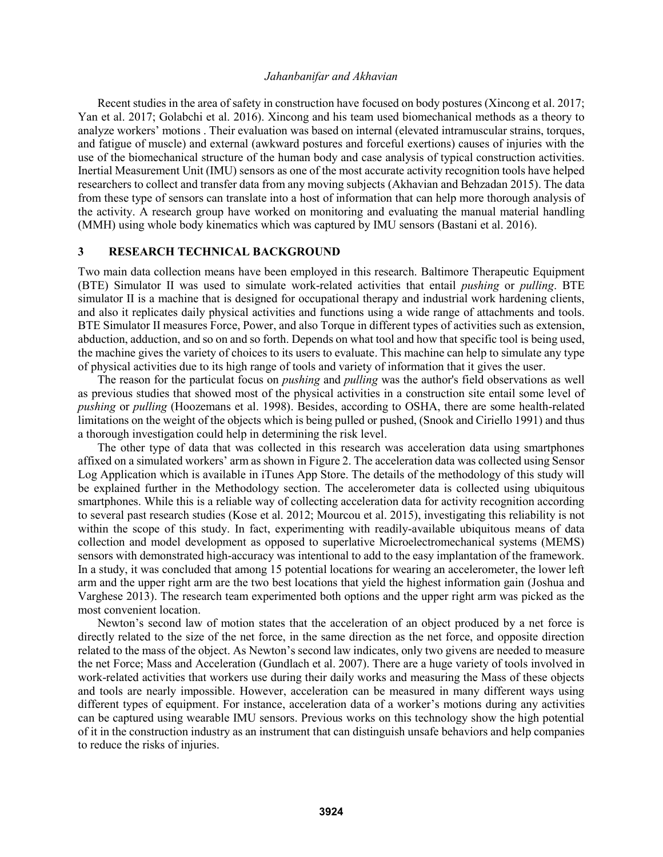Recent studies in the area of safety in construction have focused on body postures (Xincong et al. 2017; Yan et al. 2017; Golabchi et al. 2016). Xincong and his team used biomechanical methods as a theory to analyze workers' motions . Their evaluation was based on internal (elevated intramuscular strains, torques, and fatigue of muscle) and external (awkward postures and forceful exertions) causes of injuries with the use of the biomechanical structure of the human body and case analysis of typical construction activities. Inertial Measurement Unit (IMU) sensors as one of the most accurate activity recognition tools have helped researchers to collect and transfer data from any moving subjects (Akhavian and Behzadan 2015). The data from these type of sensors can translate into a host of information that can help more thorough analysis of the activity. A research group have worked on monitoring and evaluating the manual material handling (MMH) using whole body kinematics which was captured by IMU sensors (Bastani et al. 2016).

## **3 RESEARCH TECHNICAL BACKGROUND**

Two main data collection means have been employed in this research. Baltimore Therapeutic Equipment (BTE) Simulator II was used to simulate work-related activities that entail *pushing* or *pulling*. BTE simulator II is a machine that is designed for occupational therapy and industrial work hardening clients, and also it replicates daily physical activities and functions using a wide range of attachments and tools. BTE Simulator II measures Force, Power, and also Torque in different types of activities such as extension, abduction, adduction, and so on and so forth. Depends on what tool and how that specific tool is being used, the machine gives the variety of choices to its users to evaluate. This machine can help to simulate any type of physical activities due to its high range of tools and variety of information that it gives the user.

The reason for the particulat focus on *pushing* and *pulling* was the author's field observations as well as previous studies that showed most of the physical activities in a construction site entail some level of *pushing* or *pulling* (Hoozemans et al. 1998). Besides, according to OSHA, there are some health-related limitations on the weight of the objects which is being pulled or pushed, (Snook and Ciriello 1991) and thus a thorough investigation could help in determining the risk level.

The other type of data that was collected in this research was acceleration data using smartphones affixed on a simulated workers' arm as shown in Figure 2. The acceleration data was collected using Sensor Log Application which is available in iTunes App Store. The details of the methodology of this study will be explained further in the Methodology section. The accelerometer data is collected using ubiquitous smartphones. While this is a reliable way of collecting acceleration data for activity recognition according to several past research studies (Kose et al. 2012; Mourcou et al. 2015), investigating this reliability is not within the scope of this study. In fact, experimenting with readily-available ubiquitous means of data collection and model development as opposed to superlative Microelectromechanical systems (MEMS) sensors with demonstrated high-accuracy was intentional to add to the easy implantation of the framework. In a study, it was concluded that among 15 potential locations for wearing an accelerometer, the lower left arm and the upper right arm are the two best locations that yield the highest information gain (Joshua and Varghese 2013). The research team experimented both options and the upper right arm was picked as the most convenient location.

Newton's second law of motion states that the acceleration of an object produced by a net force is directly related to the size of the net force, in the same direction as the net force, and opposite direction related to the mass of the object. As Newton's second law indicates, only two givens are needed to measure the net Force; Mass and Acceleration (Gundlach et al. 2007). There are a huge variety of tools involved in work-related activities that workers use during their daily works and measuring the Mass of these objects and tools are nearly impossible. However, acceleration can be measured in many different ways using different types of equipment. For instance, acceleration data of a worker's motions during any activities can be captured using wearable IMU sensors. Previous works on this technology show the high potential of it in the construction industry as an instrument that can distinguish unsafe behaviors and help companies to reduce the risks of injuries.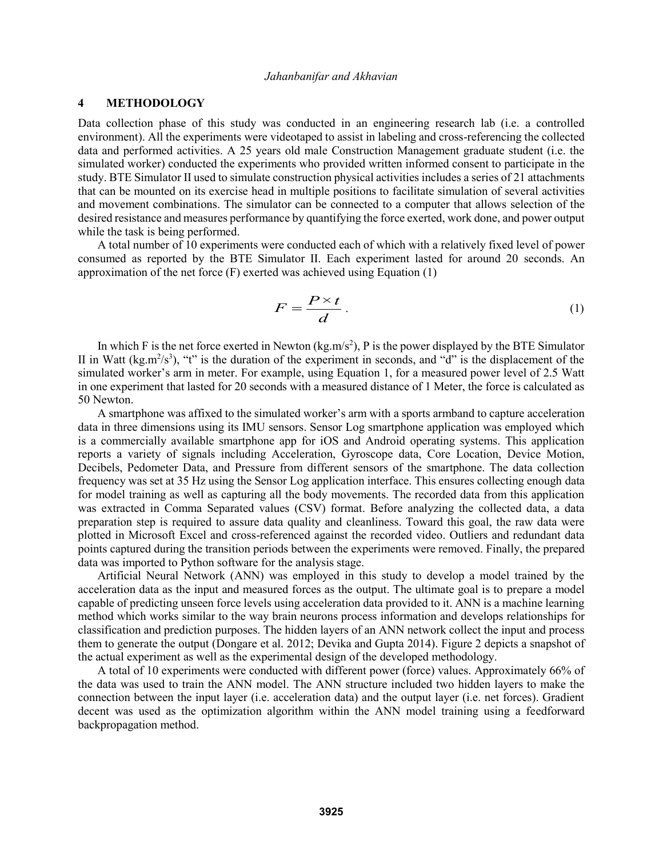## **4 METHODOLOGY**

Data collection phase of this study was conducted in an engineering research lab (i.e. a controlled environment). All the experiments were videotaped to assist in labeling and cross-referencing the collected data and performed activities. A 25 years old male Construction Management graduate student (i.e. the simulated worker) conducted the experiments who provided written informed consent to participate in the study. BTE Simulator II used to simulate construction physical activities includes a series of 21 attachments that can be mounted on its exercise head in multiple positions to facilitate simulation of several activities and movement combinations. The simulator can be connected to a computer that allows selection of the desired resistance and measures performance by quantifying the force exerted, work done, and power output while the task is being performed.

A total number of 10 experiments were conducted each of which with a relatively fixed level of power consumed as reported by the BTE Simulator II. Each experiment lasted for around 20 seconds. An approximation of the net force (F) exerted was achieved using Equation (1)

$$
F = \frac{P \times t}{d} \,. \tag{1}
$$

In which F is the net force exerted in Newton ( $kg.m/s<sup>2</sup>$ ), P is the power displayed by the BTE Simulator II in Watt ( $kg.m^2/s^3$ ), "t" is the duration of the experiment in seconds, and "d" is the displacement of the simulated worker's arm in meter. For example, using Equation 1, for a measured power level of 2.5 Watt in one experiment that lasted for 20 seconds with a measured distance of 1 Meter, the force is calculated as 50 Newton.

A smartphone was affixed to the simulated worker's arm with a sports armband to capture acceleration data in three dimensions using its IMU sensors. Sensor Log smartphone application was employed which is a commercially available smartphone app for iOS and Android operating systems. This application reports a variety of signals including Acceleration, Gyroscope data, Core Location, Device Motion, Decibels, Pedometer Data, and Pressure from different sensors of the smartphone. The data collection frequency was set at 35 Hz using the Sensor Log application interface. This ensures collecting enough data for model training as well as capturing all the body movements. The recorded data from this application was extracted in Comma Separated values (CSV) format. Before analyzing the collected data, a data preparation step is required to assure data quality and cleanliness. Toward this goal, the raw data were plotted in Microsoft Excel and cross-referenced against the recorded video. Outliers and redundant data points captured during the transition periods between the experiments were removed. Finally, the prepared data was imported to Python software for the analysis stage.

Artificial Neural Network (ANN) was employed in this study to develop a model trained by the acceleration data as the input and measured forces as the output. The ultimate goal is to prepare a model capable of predicting unseen force levels using acceleration data provided to it. ANN is a machine learning method which works similar to the way brain neurons process information and develops relationships for classification and prediction purposes. The hidden layers of an ANN network collect the input and process them to generate the output (Dongare et al. 2012; Devika and Gupta 2014). Figure 2 depicts a snapshot of the actual experiment as well as the experimental design of the developed methodology.

A total of 10 experiments were conducted with different power (force) values. Approximately 66% of the data was used to train the ANN model. The ANN structure included two hidden layers to make the connection between the input layer (i.e. acceleration data) and the output layer (i.e. net forces). Gradient decent was used as the optimization algorithm within the ANN model training using a feedforward backpropagation method.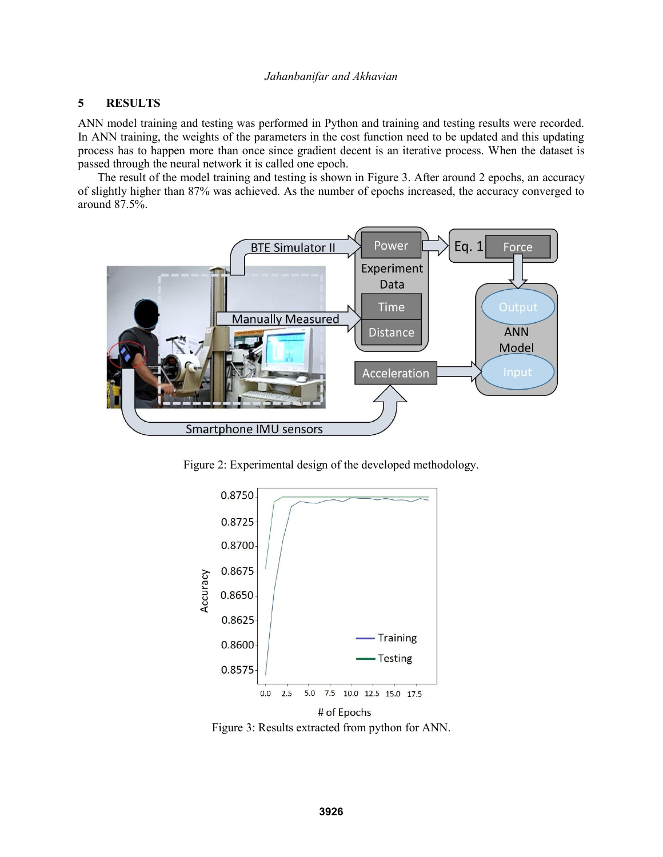# **5 RESULTS**

ANN model training and testing was performed in Python and training and testing results were recorded. In ANN training, the weights of the parameters in the cost function need to be updated and this updating process has to happen more than once since gradient decent is an iterative process. When the dataset is passed through the neural network it is called one epoch.

The result of the model training and testing is shown in Figure 3. After around 2 epochs, an accuracy of slightly higher than 87% was achieved. As the number of epochs increased, the accuracy converged to around 87.5%.



Figure 2: Experimental design of the developed methodology.



Figure 3: Results extracted from python for ANN.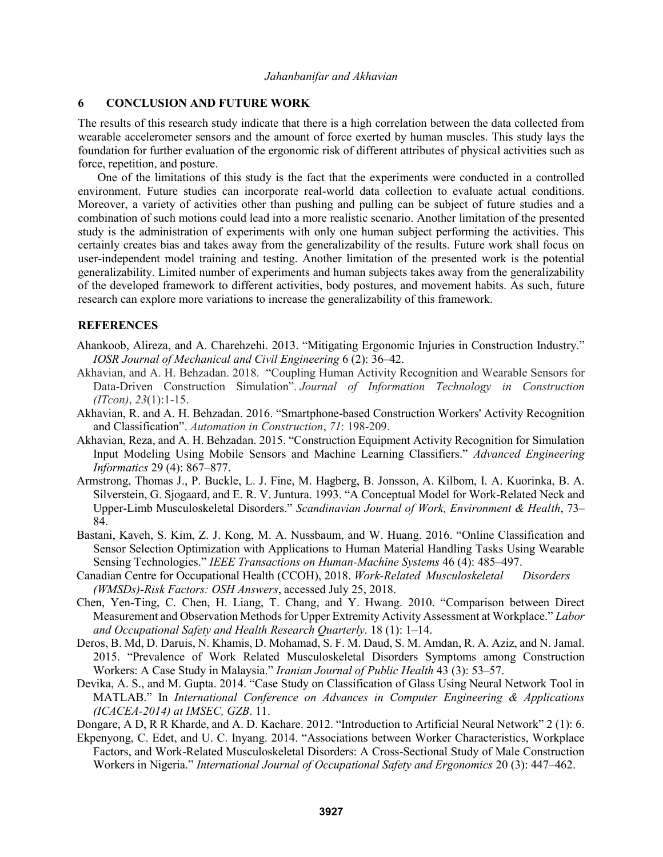## **6 CONCLUSION AND FUTURE WORK**

The results of this research study indicate that there is a high correlation between the data collected from wearable accelerometer sensors and the amount of force exerted by human muscles. This study lays the foundation for further evaluation of the ergonomic risk of different attributes of physical activities such as force, repetition, and posture.

One of the limitations of this study is the fact that the experiments were conducted in a controlled environment. Future studies can incorporate real-world data collection to evaluate actual conditions. Moreover, a variety of activities other than pushing and pulling can be subject of future studies and a combination of such motions could lead into a more realistic scenario. Another limitation of the presented study is the administration of experiments with only one human subject performing the activities. This certainly creates bias and takes away from the generalizability of the results. Future work shall focus on user-independent model training and testing. Another limitation of the presented work is the potential generalizability. Limited number of experiments and human subjects takes away from the generalizability of the developed framework to different activities, body postures, and movement habits. As such, future research can explore more variations to increase the generalizability of this framework.

#### **REFERENCES**

- Ahankoob, Alireza, and A. Charehzehi. 2013. "Mitigating Ergonomic Injuries in Construction Industry." *IOSR Journal of Mechanical and Civil Engineering* 6 (2): 36–42.
- Akhavian, and A. H. Behzadan. 2018. "Coupling Human Activity Recognition and Wearable Sensors for Data-Driven Construction Simulation". *Journal of Information Technology in Construction (ITcon)*, *23*(1):1-15.
- Akhavian, R. and A. H. Behzadan. 2016. "Smartphone-based Construction Workers' Activity Recognition and Classification". *Automation in Construction*, *71*: 198-209.
- Akhavian, Reza, and A. H. Behzadan. 2015. "Construction Equipment Activity Recognition for Simulation Input Modeling Using Mobile Sensors and Machine Learning Classifiers." *Advanced Engineering Informatics* 29 (4): 867–877.
- Armstrong, Thomas J., P. Buckle, L. J. Fine, M. Hagberg, B. Jonsson, A. Kilbom, I. A. Kuorinka, B. A. Silverstein, G. Sjogaard, and E. R. V. Juntura. 1993. "A Conceptual Model for Work-Related Neck and Upper-Limb Musculoskeletal Disorders." *Scandinavian Journal of Work, Environment & Health*, 73– 84.
- Bastani, Kaveh, S. Kim, Z. J. Kong, M. A. Nussbaum, and W. Huang. 2016. "Online Classification and Sensor Selection Optimization with Applications to Human Material Handling Tasks Using Wearable Sensing Technologies." *IEEE Transactions on Human-Machine Systems* 46 (4): 485–497.
- Canadian Centre for Occupational Health (CCOH), 2018. *Work-Related Musculoskeletal Disorders (WMSDs)-Risk Factors: OSH Answers*, accessed July 25, 2018.
- Chen, Yen-Ting, C. Chen, H. Liang, T. Chang, and Y. Hwang. 2010. "Comparison between Direct Measurement and Observation Methods for Upper Extremity Activity Assessment at Workplace." *Labor and Occupational Safety and Health Research Quarterly.* 18 (1): 1–14.
- Deros, B. Md, D. Daruis, N. Khamis, D. Mohamad, S. F. M. Daud, S. M. Amdan, R. A. Aziz, and N. Jamal. 2015. "Prevalence of Work Related Musculoskeletal Disorders Symptoms among Construction Workers: A Case Study in Malaysia." *Iranian Journal of Public Health* 43 (3): 53–57.
- Devika, A. S., and M. Gupta. 2014. "Case Study on Classification of Glass Using Neural Network Tool in MATLAB." In *International Conference on Advances in Computer Engineering & Applications (ICACEA-2014) at IMSEC, GZB*. 11.
- Dongare, A D, R R Kharde, and A. D. Kachare. 2012. "Introduction to Artificial Neural Network" 2 (1): 6.
- Ekpenyong, C. Edet, and U. C. Inyang. 2014. "Associations between Worker Characteristics, Workplace Factors, and Work-Related Musculoskeletal Disorders: A Cross-Sectional Study of Male Construction Workers in Nigeria." *International Journal of Occupational Safety and Ergonomics* 20 (3): 447–462.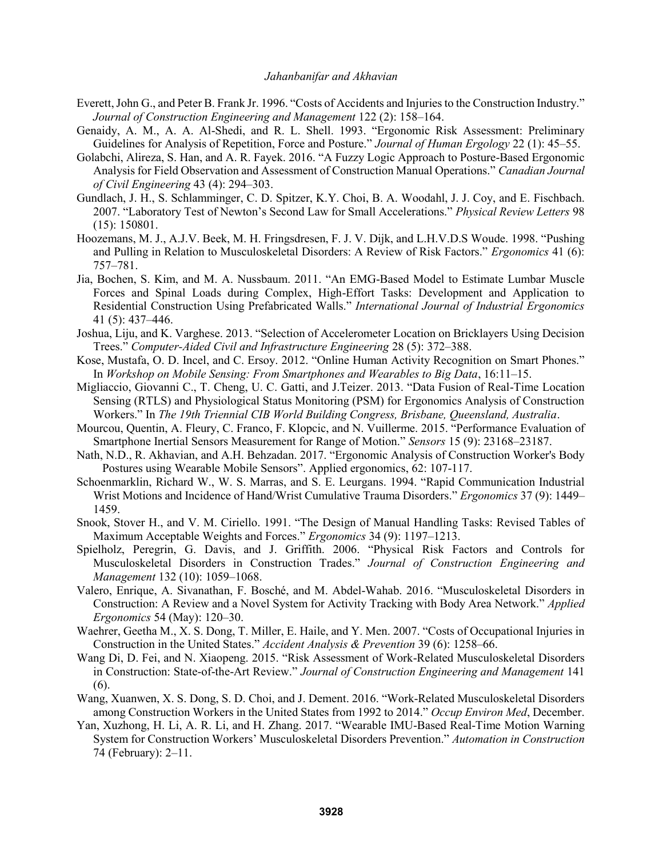- Everett, John G., and Peter B. Frank Jr. 1996. "Costs of Accidents and Injuries to the Construction Industry." *Journal of Construction Engineering and Management* 122 (2): 158–164.
- Genaidy, A. M., A. A. Al-Shedi, and R. L. Shell. 1993. "Ergonomic Risk Assessment: Preliminary Guidelines for Analysis of Repetition, Force and Posture." *Journal of Human Ergology* 22 (1): 45–55.
- Golabchi, Alireza, S. Han, and A. R. Fayek. 2016. "A Fuzzy Logic Approach to Posture-Based Ergonomic Analysis for Field Observation and Assessment of Construction Manual Operations." *Canadian Journal of Civil Engineering* 43 (4): 294–303.
- Gundlach, J. H., S. Schlamminger, C. D. Spitzer, K.Y. Choi, B. A. Woodahl, J. J. Coy, and E. Fischbach. 2007. "Laboratory Test of Newton's Second Law for Small Accelerations." *Physical Review Letters* 98 (15): 150801.
- Hoozemans, M. J., A.J.V. Beek, M. H. Fringsdresen, F. J. V. Dijk, and L.H.V.D.S Woude. 1998. "Pushing and Pulling in Relation to Musculoskeletal Disorders: A Review of Risk Factors." *Ergonomics* 41 (6): 757–781.
- Jia, Bochen, S. Kim, and M. A. Nussbaum. 2011. "An EMG-Based Model to Estimate Lumbar Muscle Forces and Spinal Loads during Complex, High-Effort Tasks: Development and Application to Residential Construction Using Prefabricated Walls." *International Journal of Industrial Ergonomics* 41 (5): 437–446.
- Joshua, Liju, and K. Varghese. 2013. "Selection of Accelerometer Location on Bricklayers Using Decision Trees." *Computer-Aided Civil and Infrastructure Engineering* 28 (5): 372–388.
- Kose, Mustafa, O. D. Incel, and C. Ersoy. 2012. "Online Human Activity Recognition on Smart Phones." In *Workshop on Mobile Sensing: From Smartphones and Wearables to Big Data*, 16:11–15.
- Migliaccio, Giovanni C., T. Cheng, U. C. Gatti, and J.Teizer. 2013. "Data Fusion of Real-Time Location Sensing (RTLS) and Physiological Status Monitoring (PSM) for Ergonomics Analysis of Construction Workers." In *The 19th Triennial CIB World Building Congress, Brisbane, Queensland, Australia*.
- Mourcou, Quentin, A. Fleury, C. Franco, F. Klopcic, and N. Vuillerme. 2015. "Performance Evaluation of Smartphone Inertial Sensors Measurement for Range of Motion." *Sensors* 15 (9): 23168–23187.
- Nath, N.D., R. Akhavian, and A.H. Behzadan. 2017. "Ergonomic Analysis of Construction Worker's Body Postures using Wearable Mobile Sensors". Applied ergonomics, 62: 107-117.
- Schoenmarklin, Richard W., W. S. Marras, and S. E. Leurgans. 1994. "Rapid Communication Industrial Wrist Motions and Incidence of Hand/Wrist Cumulative Trauma Disorders." *Ergonomics* 37 (9): 1449– 1459.
- Snook, Stover H., and V. M. Ciriello. 1991. "The Design of Manual Handling Tasks: Revised Tables of Maximum Acceptable Weights and Forces." *Ergonomics* 34 (9): 1197–1213.
- Spielholz, Peregrin, G. Davis, and J. Griffith. 2006. "Physical Risk Factors and Controls for Musculoskeletal Disorders in Construction Trades." *Journal of Construction Engineering and Management* 132 (10): 1059–1068.
- Valero, Enrique, A. Sivanathan, F. Bosché, and M. Abdel-Wahab. 2016. "Musculoskeletal Disorders in Construction: A Review and a Novel System for Activity Tracking with Body Area Network." *Applied Ergonomics* 54 (May): 120–30.
- Waehrer, Geetha M., X. S. Dong, T. Miller, E. Haile, and Y. Men. 2007. "Costs of Occupational Injuries in Construction in the United States." *Accident Analysis & Prevention* 39 (6): 1258–66.
- Wang Di, D. Fei, and N. Xiaopeng. 2015. "Risk Assessment of Work-Related Musculoskeletal Disorders in Construction: State-of-the-Art Review." *Journal of Construction Engineering and Management* 141 (6).
- Wang, Xuanwen, X. S. Dong, S. D. Choi, and J. Dement. 2016. "Work-Related Musculoskeletal Disorders among Construction Workers in the United States from 1992 to 2014." *Occup Environ Med*, December.
- Yan, Xuzhong, H. Li, A. R. Li, and H. Zhang. 2017. "Wearable IMU-Based Real-Time Motion Warning System for Construction Workers' Musculoskeletal Disorders Prevention." *Automation in Construction* 74 (February): 2–11.